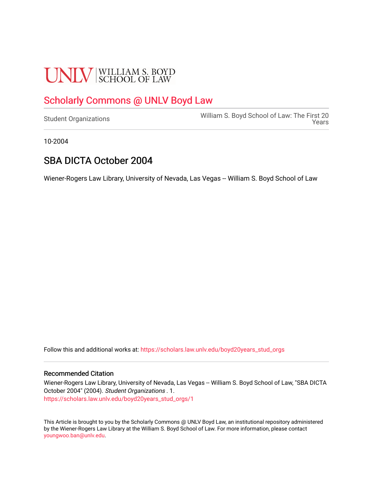# **UNLV** SCHOOL OF LAW

## [Scholarly Commons @ UNLV Boyd Law](https://scholars.law.unlv.edu/)

[Student Organizations](https://scholars.law.unlv.edu/boyd20years_stud_orgs) [William S. Boyd School of Law: The First 20](https://scholars.law.unlv.edu/boyd20years)  [Years](https://scholars.law.unlv.edu/boyd20years) 

10-2004

### SBA DICTA October 2004

Wiener-Rogers Law Library, University of Nevada, Las Vegas -- William S. Boyd School of Law

Follow this and additional works at: [https://scholars.law.unlv.edu/boyd20years\\_stud\\_orgs](https://scholars.law.unlv.edu/boyd20years_stud_orgs?utm_source=scholars.law.unlv.edu%2Fboyd20years_stud_orgs%2F1&utm_medium=PDF&utm_campaign=PDFCoverPages)

#### Recommended Citation

Wiener-Rogers Law Library, University of Nevada, Las Vegas -- William S. Boyd School of Law, "SBA DICTA October 2004" (2004). Student Organizations . 1. [https://scholars.law.unlv.edu/boyd20years\\_stud\\_orgs/1](https://scholars.law.unlv.edu/boyd20years_stud_orgs/1?utm_source=scholars.law.unlv.edu%2Fboyd20years_stud_orgs%2F1&utm_medium=PDF&utm_campaign=PDFCoverPages)

This Article is brought to you by the Scholarly Commons @ UNLV Boyd Law, an institutional repository administered by the Wiener-Rogers Law Library at the William S. Boyd School of Law. For more information, please contact [youngwoo.ban@unlv.edu.](mailto:youngwoo.ban@unlv.edu)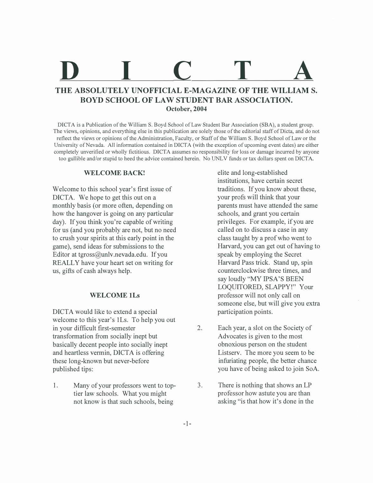## **D I C T A THE ABSOLUTELY UNOFFICIAL E-MAGAZINE OF THE WILLIAM S.**

## **BOYD SCHOOL OF LAW STUDENT BAR ASSOCIATION. October, 2004**

DICTA is a Publication of the William S. Boyd School of Law Student Bar Association (SBA), a student group. The views, opinions, and everything else in this publication are solely those of the editorial staff of Dicta, and do not reflect the views or opinions of the Administration, Faculty, or Staff of the William S. Boyd School of Law or the University of Nevada. All information contained in DICTA (with the exception of upcoming event dates) are either completely unverified or wholly fictitious. DICTA assumes no responsibility for loss or damage incurred by anyone too gullible and/or stupid to heed the advice contained herein. No UNLV funds or tax dollars spent on DICTA.

#### **WELCOME BACK!**

Welcome to this school year's first issue of DICTA. We hope to get this out on a monthly basis (or more often, depending on how the hangover is going on any particular day). If you think you're capable of writing for us (and you probably are not, but no need to crush your spirits at this early point in the game), send ideas for submissions to the Editor at tgross@unlv.nevada.edu. If you REALLY have your heart set on writing for us, gifts of cash always help.

#### **WELCOME lLs**

DICTA would like to extend a special welcome to this year's lLs. To help you out in your difficult first-semester transformation from socially inept but basically decent people into socially inept and heartless vermin, DICTA is offering these long-known but never-before published tips:

1. Many of your professors went to toptier law schools. What you might not know is that such schools, being

elite and long-established institutions, have certain secret traditions. If you know about these, your profs will think that your parents must have attended the same schools, and grant you certain privileges. For example, if you are called on to discuss a case in any class taught by a prof who went to Harvard, you can get out of having to speak by employing the Secret Harvard Pass trick. Stand up, spin counterclockwise three times, and say loudly "MY IPSA'S BEEN LOQUITORED, SLAPPY!" Your professor will not only call on someone else, but will give you extra participation points.

- 2. Each year, a slot on the Society of Advocates is given to the most obnoxious person on the student Listserv. The more you seem to be infuriating people, the better chance you have of being asked to join SoA.
- 3. There is nothing that shows an LP professor how astute you are than asking "is that how it's done in the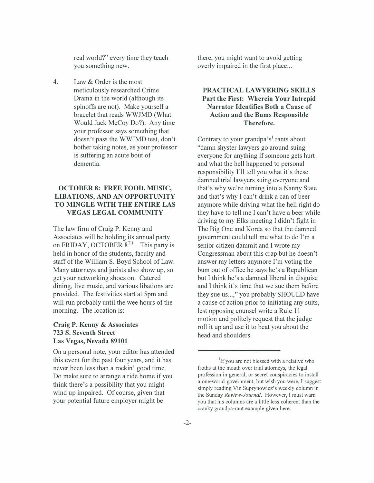real world?" every time they teach you something new.

4. Law & Order is the most meticulously researched Crime Drama in the world (although its spinoffs are not). Make yourself a bracelet that reads WWJMD (What Would Jack McCoy Do?). Any time your professor says something that doesn't pass the WWJMD test, don't bother taking notes, as your professor is suffering an acute bout of dementia.

#### **OCTOBER 8: FREE FOOD. MUSIC, LIBATIONS, AND AN OPPORTUNITY TO MINGLE WITH THE ENTIRE LAS VEGAS LEGAL COMMUNITY**

The law firm of Craig P. Kenny and Associates will be holding its annual party on FRIDAY, OCTOBER  $8^{TH}$ . This party is held in honor of the students, faculty and staff of the William S. Boyd School of Law. Many attorneys and jurists also show up, so get your networking shoes on. Catered dining, live music, and various libations are provided. The festivities start at 5pm and will run probably until the wee hours of the morning. The location is:

#### **Craig P. Kenny & Associates 723 S. Seventh Street Las Vegas, Nevada 89101**

On a personal note, your editor has attended this event for the past four years, and it has never been less than a rockin' good time. Do make sure to arrange a ride home if you think there's a possibility that you might wind up impaired. Of course, given that your potential future employer might be

there, you might want to avoid getting overly impaired in the first place...

#### **PRACTICAL LAWYERING SKILLS Part the First: Wherein Your Intrepid Narrator Identifies Both a Cause of Action and the Bums Responsible Therefore.**

Contrary to your grandpa's<sup>1</sup> rants about "damn shyster lawyers go around suing everyone for anything if someone gets hurt and what the hell happened to personal responsibility I'll tell you what it's these damned trial lawyers suing everyone and that's why we're turning into a Nanny State and that's why I can't drink a can of beer anymore while driving what the hell right do they have to tell me I can't have a beer while driving to my Elks meeting I didn't fight in The Big One and Korea so that the damned government could tell me what to do I'm a senior citizen dammit and I wrote my Congressman about this crap but he doesn't answer my letters anymore I'm voting the bum out of office he says he's a Republican but I think he's a damned liberal in disguise and I think it's time that we sue them before they sue us...," you probably SHOULD have a cause of action prior to initiating any suits, lest opposing counsel write a Rule 11 motion and politely request that the judge roll it up and use it to beat you about the head and shoulders.

<sup>&</sup>lt;sup>1</sup>If you are not blessed with a relative who froths at the mouth over trial attorneys, the legal profession in general, or secret conspiracies to install a one-world government, but wish you were, I suggest simply reading Vin Suprynowicz's weekly column in the Sunday *Review-Journal.* However, I must warn you that his columns are a little less coherent than the cranky grandpa-rant example given here.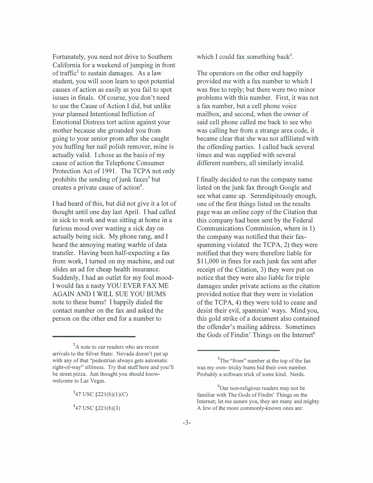Fortunately, you need not drive to Southern California for a weekend of jumping in front of traffic<sup>2</sup> to sustain damages. As a law student, you will soon learn to spot potential causes of action as easily as you fail to spot issues in finals. Of course, you don't need to use the Cause of Action I did, but unlike your planned Intentional Infliction of Emotional Distress tort action against your mother because she grounded you from going to your senior prom after she caught you huffing her nail polish remover, mine is actually valid. I chose as the basis of my cause of action the Telephone Consumer Protection Act of 1991. The TCPA not only prohibits the sending of junk faxes<sup>3</sup> but creates a private cause of action<sup>4</sup>.

I had heard of this, but did not give it a lot of thought until one day last April. I had called in sick to work and was sitting at home in a furious mood over wasting a sick day on actually being sick. My phone rang, and I heard the annoying mating warble of data transfer. Having been half-expecting a fax from work, I turned on my machine, and out slides an ad for cheap health insurance. Suddenly, I had an outlet for my foul mood-I would fax a nasty YOU EVER FAX ME AGAIN AND I WILL SUE YOU BUMS note to these bums! I happily dialed the contact number on the fax and asked the person on the other end for a number to

 ${}^{2}$ A note to our readers who are recent arrivals to the Silver State: Nevada doesn't put up with any of that "pedestrian always gets automatic right-of-way" silliness. Try that stuff here and you'll be street pizza. Just thought you should knowwelcome to Las Vegas.

 $347$  USC  $\S221(b)(1)(C)$ 

 $447$  USC  $\S$ 221(b)(3)

which I could fax something back<sup>5</sup>.

The operators on the other end happily provided me with a fax number to which I was free to reply; but there were two minor problems with this number. First, it was not a fax number, but a cell phone voice mailbox, and second, when the owner of said cell phone called me back to see who was calling her from a strange area code, it became clear that she was not affiliated with the offending parties. I called back several times and was supplied with several different numbers, all similarly invalid.

I finally decided to run the company name listed on the junk fax through Google and see what came up. Serendipitously enough, one of the first things listed on the results page was an online copy of the Citation that this company had been sent by the Federal Communications Commission, where in 1) the company was notified that their faxspamming violated the TCPA, 2) they were notified that they were therefore liable for \$11,000 in fines for each junk fax sent after receipt of the Citation, 3) they were put on notice that they were also liable for triple damages under private actions as the citation provided notice that they were in violation of the TCPA, 4) they were told to cease and desist their evil, spammin' ways. Mind you, this gold strike of a document also contained the offender's mailing address. Sometimes the Gods of Findin' Things on the Internet $6$ 

<sup>&</sup>lt;sup>5</sup>The "from" number at the top of the fax was my own- tricky bums hid their own number. Probably a software trick of some kind. Nerds.

<sup>&</sup>lt;sup>6</sup>Our non-religious readers may not be familiar with The Gods of Findin' Things on the Internet; let me assure you, they are many and mighty. A few of the more commonly-known ones are: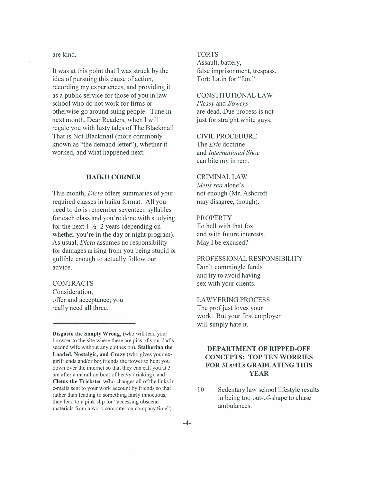are kind.

It was at this point that I was struck by the idea of pursuing this cause of action, recording my experiences, and providing it as a public service for those of you in law school who do not work for firms or otherwise go around suing people. Tune in next month, Dear Readers, when I will regale you with lusty tales of The Blackmail That is Not Blackmail (more commonly known as "the demand letter"), whether it worked, and what happened next.

#### **HAIKU CORNER**

This month, *Dicta* offers summaries of your required classes in haiku format. All you need to do is remember seventeen syllables for each class and you're done with studying for the next  $1 \frac{1}{2}$ - 2 years (depending on whether you're in the day or night program). As usual, *Dicta* assumes no responsibility for damages arising from you being stupid or gullible enough to actually follow our advice.

#### **CONTRACTS**

Consideration, offer and acceptance; you really need all three.

**Disgusto the Simply Wrong,** (who will lead your browser to the site where there are pies of your dad's second wife without any clothes on), **Stalkerina the Loaded, Nostalgic, and Crazy** (who gives your exgirlfriends and/or boyfriends the power to hunt you down over the internet so that they can call you at 3 am after a marathon bout of heavy drinking), and **Cletus the Trickster** w(ho changes all of the links in e-mails sent to your work account by friends so that rather than leading to something fairly innocuous, they lead to a pink slip for "accessing obscene materials from a work computer on company time").

#### TORTS

Assault, battery, false imprisonment, trespass. Tort: Latin for "fun."

CONSTITUTIONAL LAW *Plessy* and *Bowers*  are dead. Due process is not just for straight white guys.

#### CIVIL PROCEDURE

The *Erie* doctrine and *International Shoe*  can bite my in rem.

#### CRIMINAL LAW

*Mens rea* alone's not enough (Mr. Ashcroft may disagree, though).

#### **PROPERTY**

To hell with that fox and with future interests. May I be excused?

PROFESSIONAL RESPONSIBILITY Don't commingle funds and try to avoid having sex with your clients.

#### LAWYERING PROCESS The prof just loves your work. But your first employer will simply hate it.

#### **DEPARTMENT OF RIPPED-OFF CONCEPTS: TOP TEN WORRIES FOR 3Ls/4Ls GRADUATING THIS YEAR**

10 Sedentary law school lifestyle results in being too out-of-shape to chase ambulances.